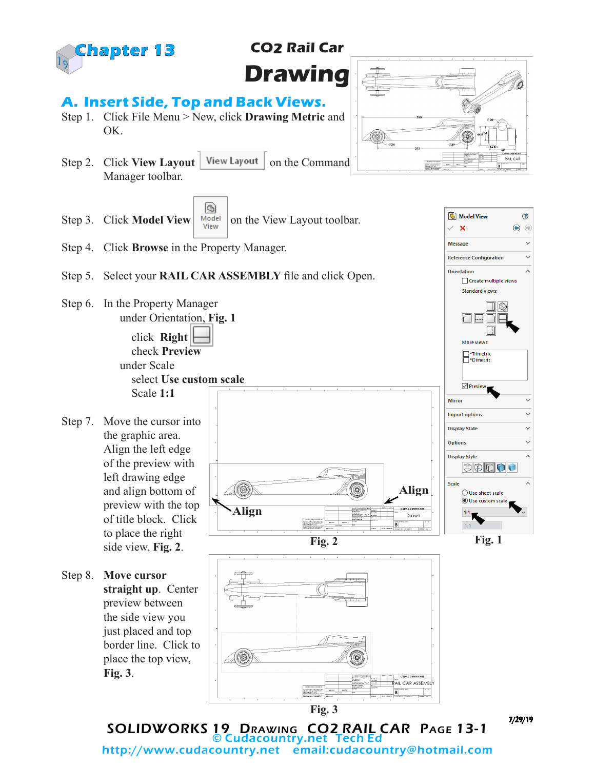

# **CO2 Rail Car Drawing**

### **A. Insert Side, Top and Back Views.**

- Step 1. Click File Menu > New, click **Drawing Metric** and OK.
- Step 2. Click **View Layout** | View Layout | on the Command Manager toolbar.
- G) Step 3. Click **Model View**  $\begin{array}{c|c} \hline \text{Model} & \text{On the View Layout toolbox.} \end{array}$
- Step 4. Click **Browse** in the Property Manager.
- Step 5. Select your **RAIL CAR ASSEMBLY** file and click Open.

**Align**

Step 6. In the Property Manager under Orientation, **Fig. 1**

> click **Right** check **Preview** under Scale select **Use custom scale** Scale **1:1**

- Step 7. Move the cursor into the graphic area. Align the left edge of the preview with left drawing edge and align bottom of preview with the top of title block. Click to place the right side view, **Fig. 2**.
- Step 8. **Move cursor straight up**. Center preview between the side view you just placed and top border line. Click to place the top view, **Fig. 3**.





**Fig. 3**

**Fig. 2**

Œ

(95

**RAIL CAR ASSEMBLY**  $B$ 

7/29/19

SOLIDWORKS 19 Drawing CO2 RAIL CAR Page 13-1 © Cudacountry.net Tech Ed http://www.cudacountry.net email:cudacountry@hotmail.com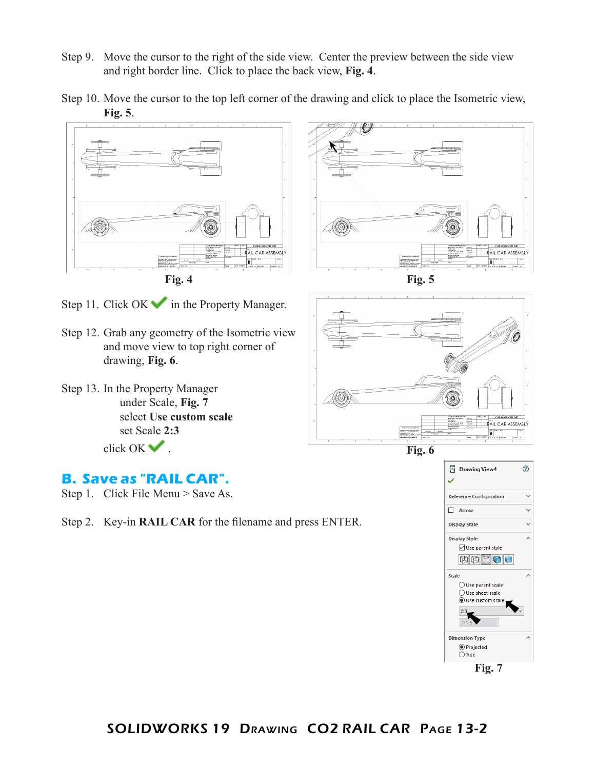- Step 9. Move the cursor to the right of the side view. Center the preview between the side view and right border line. Click to place the back view, **Fig. 4**.
- Step 10. Move the cursor to the top left corner of the drawing and click to place the Isometric view, **Fig. 5**.





Step 11. Click  $OK$  in the Property Manager.

- Step 12. Grab any geometry of the Isometric view and move view to top right corner of drawing, **Fig. 6**.
- Step 13. In the Property Manager under Scale, **Fig. 7** select **Use custom scale** set Scale **2:3** click OK .





#### **B. Save as "RAIL CAR".**

- Step 1. Click File Menu > Save As.
- Step 2. Key-in **RAIL CAR** for the filename and press ENTER.

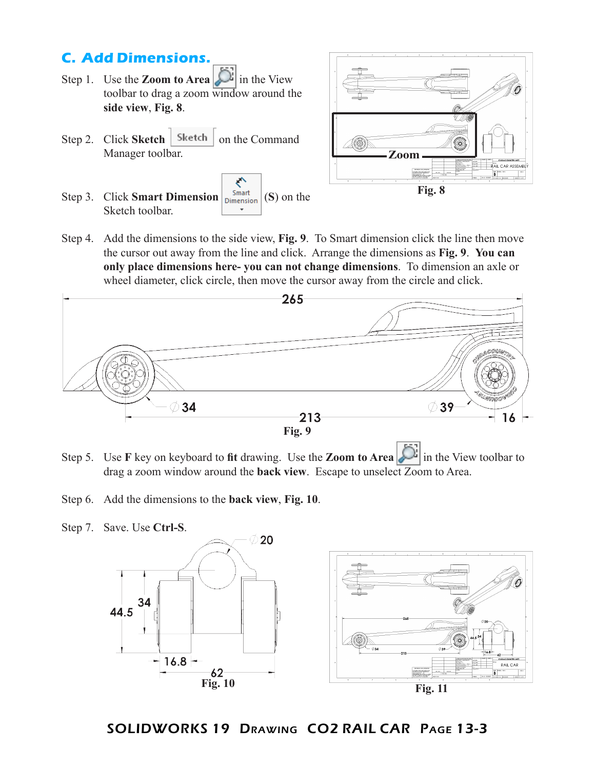## **C. Add Dimensions.**

- Step 1. Use the **Zoom to Area** in the View toolbar to drag a zoom window around the **side view**, **Fig. 8**.
- Step 2. Click **Sketch** | Sketch | on the Command Manager toolbar.
- ₹ Step 3. Click **Smart Dimension**  $\begin{bmatrix} \text{Smat} \\ \text{Dimension} \end{bmatrix}$  (S) on the Sketch toolbar.



Step 4. Add the dimensions to the side view, **Fig. 9**. To Smart dimension click the line then move the cursor out away from the line and click. Arrange the dimensions as **Fig. 9**. **You can only place dimensions here- you can not change dimensions**. To dimension an axle or wheel diameter, click circle, then move the cursor away from the circle and click.



- Step 5. Use **F** key on keyboard to **fit** drawing. Use the **Zoom to Area** in the View toolbar to drag a zoom window around the **back view**.Escape to unselect Zoom to Area.
- Step 6. Add the dimensions to the **back view**, **Fig. 10**.
- Step 7. Save. Use **Ctrl-S**. 20 34 44.5  $-16.8 -$ RAIL CAR  $62$ **Fig. 10Fig. 11**
	- SOLIDWORKS 19 Drawing CO2 RAIL CAR Page 13-3